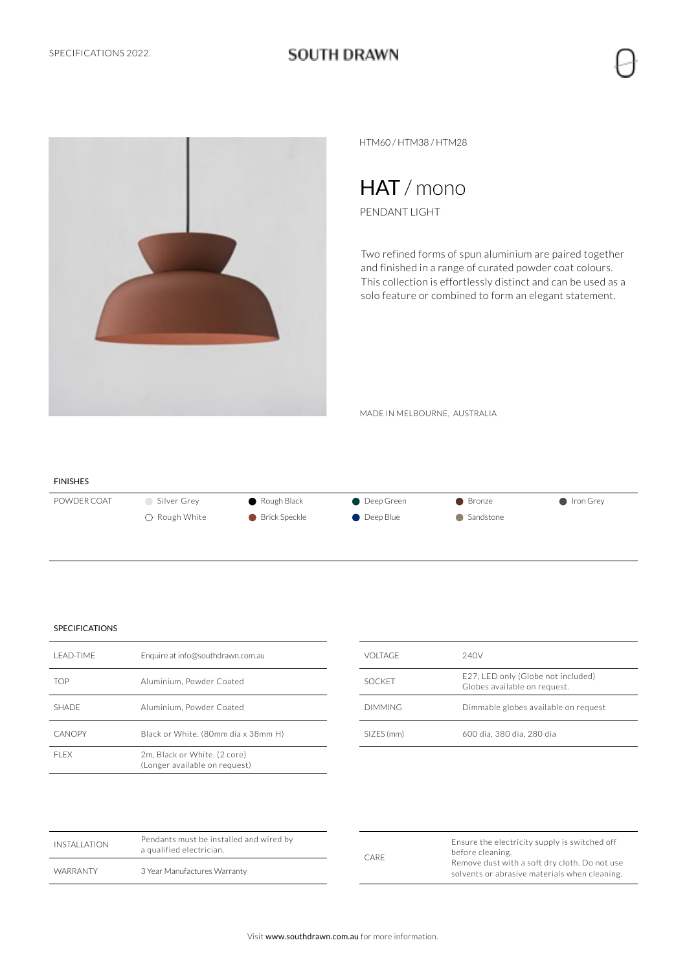### **SOUTH DRAWN**



HTM60 / HTM38 / HTM28

## HAT / mono

PENDANT LIGHT

Two refined forms of spun aluminium are paired together and finished in a range of curated powder coat colours. This collection is effortlessly distinct and can be used as a solo feature or combined to form an elegant statement.

MADE IN MELBOURNE, AUSTRALIA

### FINISHES POWDER COAT Silver Grey CRough Black Deep Green C Bronze C Iron Grey ○ Rough White ● Brick Speckle ● Deep Blue ● Sandstone

| I FAD-TIMF   | Enquire at info@southdrawn.com.au                             |
|--------------|---------------------------------------------------------------|
| TOP          | Aluminium. Powder Coated                                      |
| <b>SHADE</b> | Aluminium, Powder Coated                                      |
| CANOPY       | Black or White. (80mm dia x 38mm H)                           |
| FI FX        | 2m. Black or White. (2 core)<br>(Longer available on request) |

| <b>VOLTAGE</b> | 240V                                                               |
|----------------|--------------------------------------------------------------------|
| <b>SOCKET</b>  | E27, LED only (Globe not included)<br>Globes available on request. |
| <b>DIMMING</b> | Dimmable globes available on request                               |
| SIZES (mm)     | 600 dia. 380 dia. 280 dia                                          |

| INSTALLATION | Pendants must be installed and wired by<br>a qualified electrician.<br>3 Year Manufactures Warranty | CARE | Ensure the electricity supply is switched off<br>before cleaning.                              |  |
|--------------|-----------------------------------------------------------------------------------------------------|------|------------------------------------------------------------------------------------------------|--|
| WARRANTY     |                                                                                                     |      | Remove dust with a soft dry cloth. Do not use<br>solvents or abrasive materials when cleaning. |  |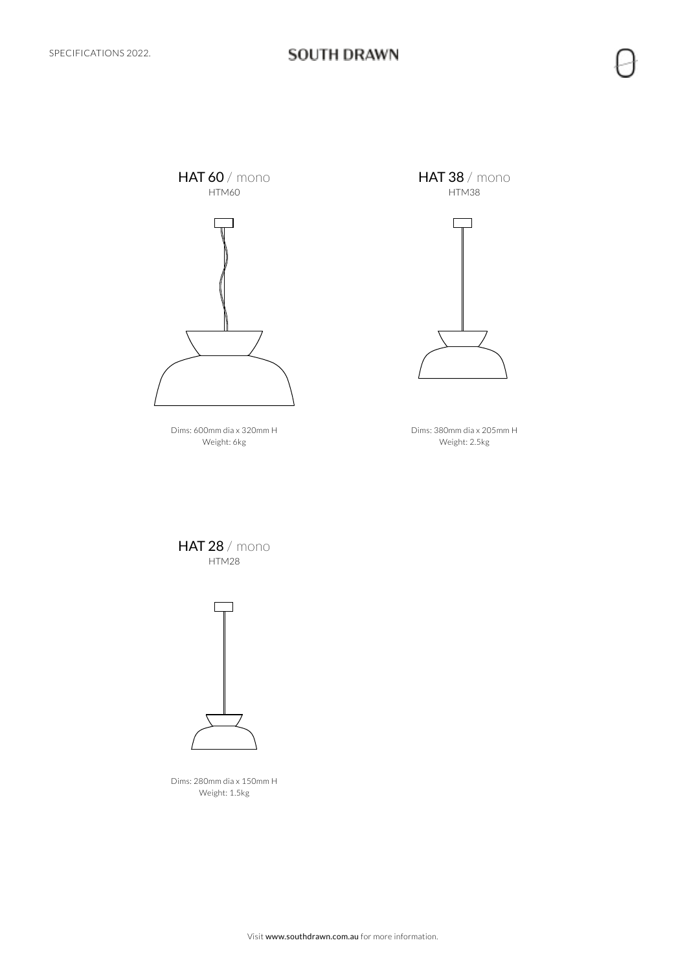

Dims: 600mm dia x 320mm H Weight: 6kg

**HAT 38** / mono HTM38



Dims: 380mm dia x 205mm H Weight: 2.5kg

**HAT 28** / mono HTM28



Dims: 280mm dia x 150mm H Weight: 1.5kg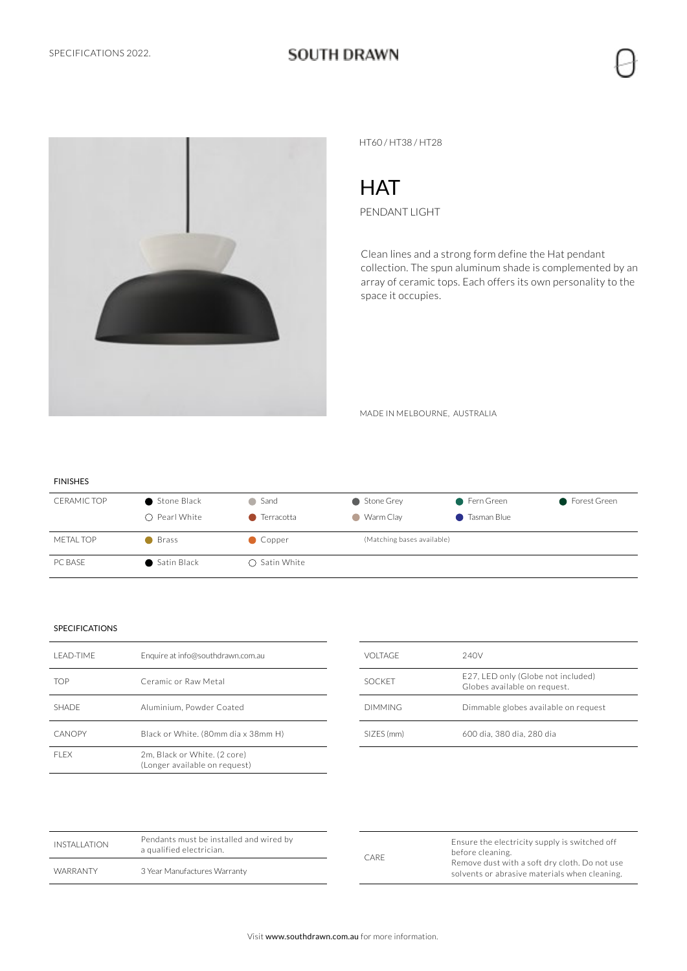## **SOUTH DRAWN**



HT60 / HT38 / HT28

# **HAT**

PENDANT LIGHT

Clean lines and a strong form define the Hat pendant collection. The spun aluminum shade is complemented by an array of ceramic tops. Each offers its own personality to the space it occupies.

MADE IN MELBOURNE, AUSTRALIA

| <b>FINISHES</b>    |                        |                        |                            |                    |                |
|--------------------|------------------------|------------------------|----------------------------|--------------------|----------------|
| <b>CERAMIC TOP</b> | Stone Black            | ● Sand                 | Stone Grey                 | ● Fern Green       | ● Forest Green |
|                    | $\bigcirc$ Pearl White | ● Terracotta           | ● Warm Clay                | <b>Tasman Blue</b> |                |
| <b>METAL TOP</b>   | ● Brass                | Copper                 | (Matching bases available) |                    |                |
| PC BASE            | • Satin Black          | $\bigcirc$ Satin White |                            |                    |                |

| I FAD-TIMF    | Enquire at info@southdrawn.com.au                             |
|---------------|---------------------------------------------------------------|
| TOP           | Ceramic or Raw Metal                                          |
| <b>SHADE</b>  | Aluminium, Powder Coated                                      |
| <b>CANOPY</b> | Black or White. (80mm dia x 38mm H)                           |
| FI FX         | 2m. Black or White. (2 core)<br>(Longer available on request) |

| VOLTAGE       | 240V                                                               |
|---------------|--------------------------------------------------------------------|
| <b>SOCKET</b> | E27, LED only (Globe not included)<br>Globes available on request. |
| DIMMING.      | Dimmable globes available on request                               |
| SIZES (mm)    | 600 dia. 380 dia. 280 dia                                          |

| INSTALLATION | Pendants must be installed and wired by<br>a qualified electrician. | <b>CARE</b> | Ensure the electricity supply is switched off<br>before cleaning.                              |  |
|--------------|---------------------------------------------------------------------|-------------|------------------------------------------------------------------------------------------------|--|
| WARRANTY     | 3 Year Manufactures Warranty                                        |             | Remove dust with a soft dry cloth. Do not use<br>solvents or abrasive materials when cleaning. |  |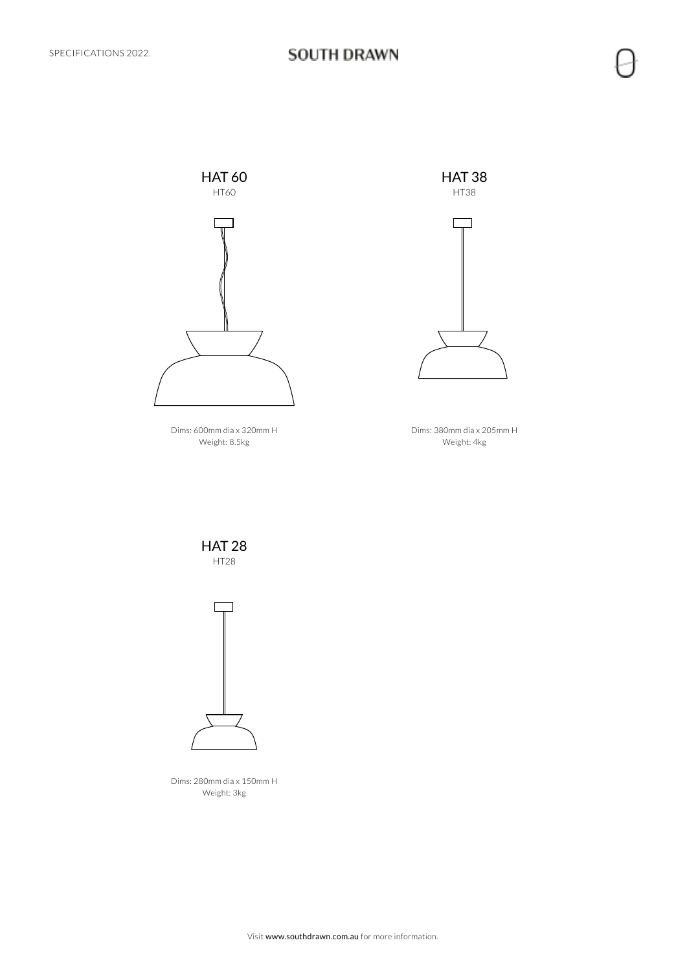

Dims: 600mm dia x 320mm H Weight: 8.5kg





Dims: 380mm dia x 205mm H Weight: 4kg

HAT 28 HT28



Dims: 280mm dia x 150mm H Weight: 3kg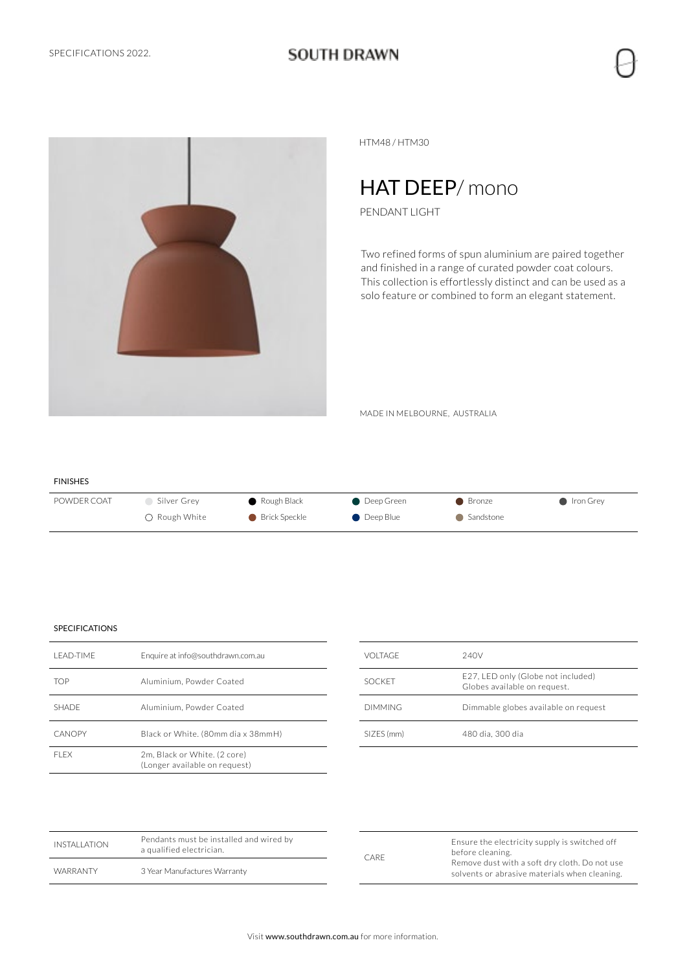### **SOUTH DRAWN**



HTM48 / HTM30

## HAT DEEP/mono

PENDANT LIGHT

Two refined forms of spun aluminium are paired together and finished in a range of curated powder coat colours. This collection is effortlessly distinct and can be used as a solo feature or combined to form an elegant statement.

MADE IN MELBOURNE, AUSTRALIA

| <b>FINISHES</b> |                       |                       |                     |             |                          |
|-----------------|-----------------------|-----------------------|---------------------|-------------|--------------------------|
| POWDER COAT     | Silver Grev           | $\bullet$ Rough Black | <b>Deep Green</b>   | ● Bronze    | $\blacksquare$ Iron Grey |
|                 | $\bigcap$ Rough White | <b>Brick Speckle</b>  | $\bullet$ Deep Blue | • Sandstone |                          |

| I FAD-TIMF    | Enquire at info@southdrawn.com.au                             |
|---------------|---------------------------------------------------------------|
| <b>TOP</b>    | Aluminium, Powder Coated                                      |
| <b>SHADE</b>  | Aluminium, Powder Coated                                      |
| <b>CANOPY</b> | Black or White. (80mm dia x 38mmH)                            |
| FI FX         | 2m. Black or White. (2 core)<br>(Longer available on request) |

| VOLTAGE        | 240V                                                               |
|----------------|--------------------------------------------------------------------|
| <b>SOCKET</b>  | E27, LED only (Globe not included)<br>Globes available on request. |
| <b>DIMMING</b> | Dimmable globes available on request                               |
| SIZES (mm)     | 480 dia, 300 dia                                                   |

| INSTALLATION    | Pendants must be installed and wired by<br>a qualified electrician. | <b>CARE</b> |
|-----------------|---------------------------------------------------------------------|-------------|
| <b>WARRANTY</b> | 3 Year Manufactures Warranty                                        |             |

| <b>CARE</b> | Ensure the electricity supply is switched off<br>before cleaning.<br>Remove dust with a soft dry cloth. Do not use<br>solvents or abrasive materials when cleaning. |
|-------------|---------------------------------------------------------------------------------------------------------------------------------------------------------------------|
|-------------|---------------------------------------------------------------------------------------------------------------------------------------------------------------------|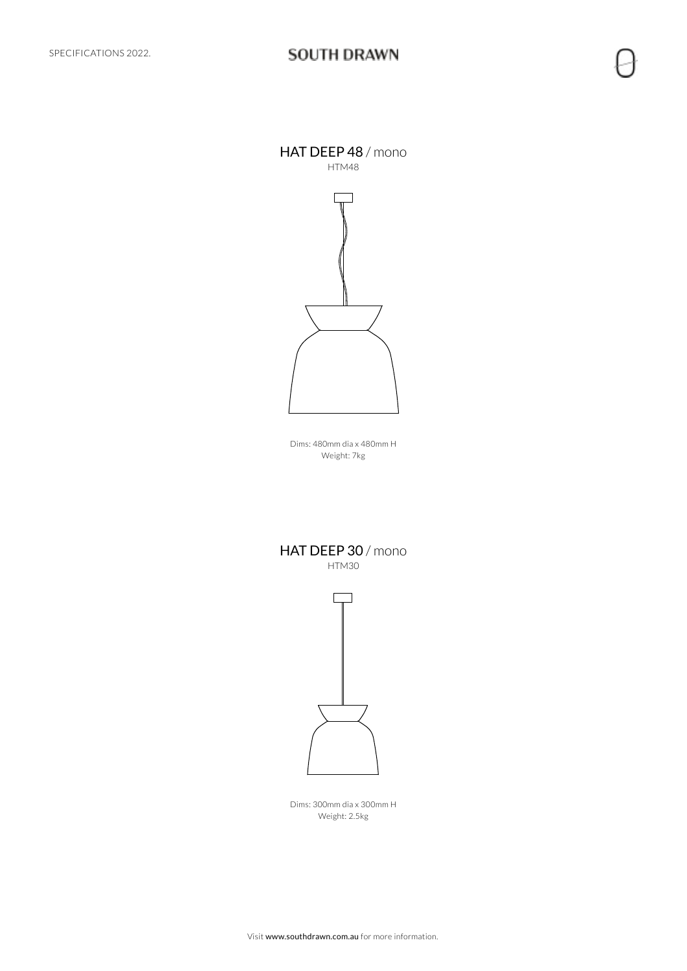HAT DEEP 48 / mono HTM48



Dims: 480mm dia x 480mm H Weight: 7kg

HAT DEEP 30 / mono HTM30



Dims: 300mm dia x 300mm H Weight: 2.5kg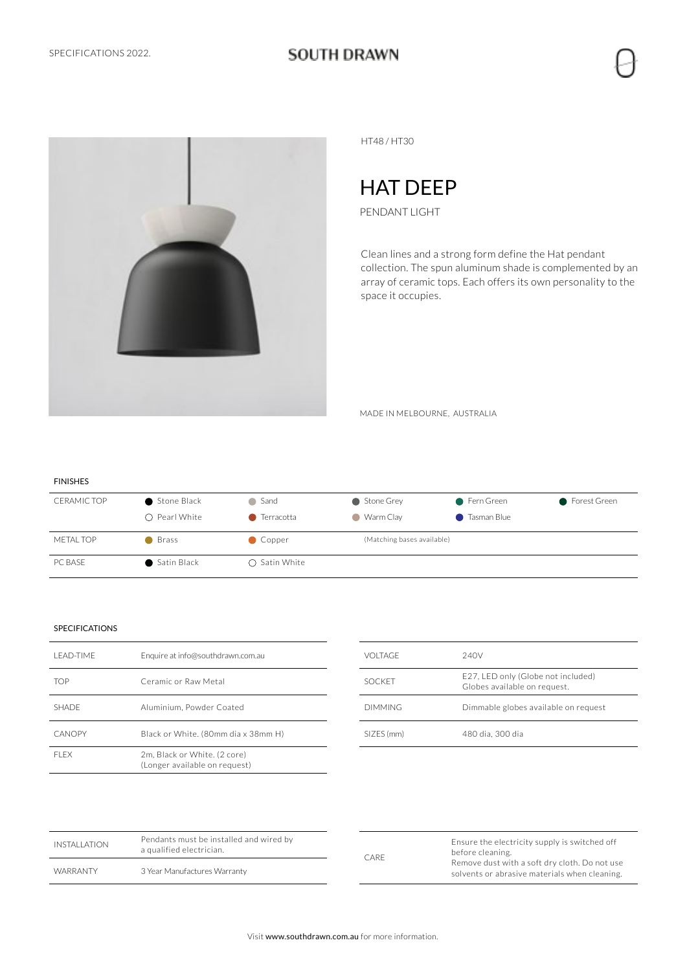

HT48 / HT30

## HAT DEEP

PENDANT LIGHT

Clean lines and a strong form define the Hat pendant collection. The spun aluminum shade is complemented by an array of ceramic tops. Each offers its own personality to the space it occupies.

MADE IN MELBOURNE, AUSTRALIA

| <b>FINISHES</b>    |                        |                        |                            |                    |                |
|--------------------|------------------------|------------------------|----------------------------|--------------------|----------------|
| <b>CERAMIC TOP</b> | Stone Black            | ● Sand                 | Stone Grey                 | ● Fern Green       | ● Forest Green |
|                    | $\bigcirc$ Pearl White | ● Terracotta           | ● Warm Clay                | <b>Tasman Blue</b> |                |
| <b>METAL TOP</b>   | ● Brass                | Copper                 | (Matching bases available) |                    |                |
| PC BASE            | • Satin Black          | $\bigcirc$ Satin White |                            |                    |                |

| I FAD-TIMF   | Enquire at info@southdrawn.com.au                             |
|--------------|---------------------------------------------------------------|
| <b>TOP</b>   | Ceramic or Raw Metal                                          |
| <b>SHADE</b> | Aluminium, Powder Coated                                      |
| CANOPY       | Black or White. (80mm dia x 38mm H)                           |
| FI FX        | 2m. Black or White. (2 core)<br>(Longer available on request) |

| VOLTAGE       | 240V                                                               |
|---------------|--------------------------------------------------------------------|
| <b>SOCKET</b> | E27, LED only (Globe not included)<br>Globes available on request. |
| DIMMING.      | Dimmable globes available on request                               |
| SIZES (mm)    | 480 dia, 300 dia                                                   |

| INSTALLATION | Pendants must be installed and wired by<br>a qualified electrician. | CARE | Ensure the electricity supply is switched off<br>before cleaning.                              |  |
|--------------|---------------------------------------------------------------------|------|------------------------------------------------------------------------------------------------|--|
| WARRANTY     | 3 Year Manufactures Warranty                                        |      | Remove dust with a soft dry cloth. Do not use<br>solvents or abrasive materials when cleaning. |  |